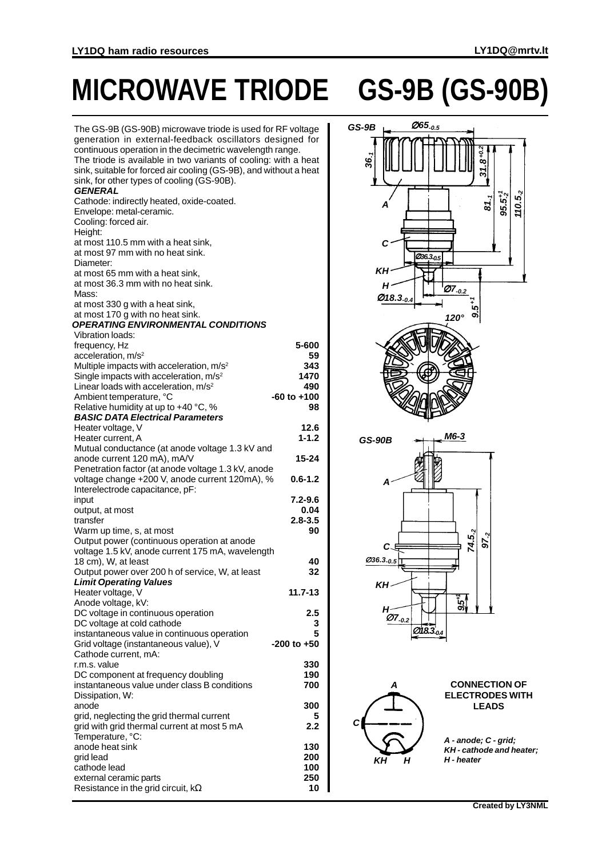## **MICROWAVE TRIODE GS-9B (GS-90B)**

| The GS-9B (GS-90B) microwave triode is used for RF voltage<br>generation in external-feedback oscillators designed for<br>continuous operation in the decimetric wavelength range.<br>The triode is available in two variants of cooling: with a heat<br>sink, suitable for forced air cooling (GS-9B), and without a heat<br>sink, for other types of cooling (GS-90B).<br>GENERAL |                 |
|-------------------------------------------------------------------------------------------------------------------------------------------------------------------------------------------------------------------------------------------------------------------------------------------------------------------------------------------------------------------------------------|-----------------|
| Cathode: indirectly heated, oxide-coated.<br>Envelope: metal-ceramic.<br>Cooling: forced air.<br>Height:                                                                                                                                                                                                                                                                            |                 |
| at most 110.5 mm with a heat sink,<br>at most 97 mm with no heat sink.<br>Diameter:                                                                                                                                                                                                                                                                                                 |                 |
| at most 65 mm with a heat sink,<br>at most 36.3 mm with no heat sink.<br>Mass:                                                                                                                                                                                                                                                                                                      |                 |
| at most 330 g with a heat sink,<br>at most 170 g with no heat sink.<br><b>OPERATING ENVIRONMENTAL CONDITIONS</b>                                                                                                                                                                                                                                                                    |                 |
| <b>Vibration loads:</b>                                                                                                                                                                                                                                                                                                                                                             |                 |
| frequency, Hz                                                                                                                                                                                                                                                                                                                                                                       | 5-600           |
| acceleration, m/s <sup>2</sup>                                                                                                                                                                                                                                                                                                                                                      | 59              |
| Multiple impacts with acceleration, m/s <sup>2</sup>                                                                                                                                                                                                                                                                                                                                | 343             |
| Single impacts with acceleration, m/s <sup>2</sup>                                                                                                                                                                                                                                                                                                                                  | 1470            |
| Linear loads with acceleration, m/s <sup>2</sup>                                                                                                                                                                                                                                                                                                                                    | 490             |
| Ambient temperature, °C                                                                                                                                                                                                                                                                                                                                                             | -60 to +100     |
| Relative humidity at up to +40 °C, %                                                                                                                                                                                                                                                                                                                                                | 98              |
| <b>BASIC DATA Electrical Parameters</b><br>Heater voltage, V                                                                                                                                                                                                                                                                                                                        | 12.6            |
| Heater current, A                                                                                                                                                                                                                                                                                                                                                                   | $1 - 1.2$       |
| Mutual conductance (at anode voltage 1.3 kV and                                                                                                                                                                                                                                                                                                                                     |                 |
| anode current 120 mA), mA/V                                                                                                                                                                                                                                                                                                                                                         | 15-24           |
| Penetration factor (at anode voltage 1.3 kV, anode                                                                                                                                                                                                                                                                                                                                  |                 |
| voltage change +200 V, anode current 120mA), %                                                                                                                                                                                                                                                                                                                                      | $0.6 - 1.2$     |
| Interelectrode capacitance, pF:                                                                                                                                                                                                                                                                                                                                                     |                 |
| input                                                                                                                                                                                                                                                                                                                                                                               | $7.2 - 9.6$     |
| output, at most                                                                                                                                                                                                                                                                                                                                                                     | 0.04            |
| transfer                                                                                                                                                                                                                                                                                                                                                                            | $2.8 - 3.5$     |
| Warm up time, s, at most                                                                                                                                                                                                                                                                                                                                                            | 90              |
| Output power (continuous operation at anode                                                                                                                                                                                                                                                                                                                                         |                 |
| voltage 1.5 kV, anode current 175 mA, wavelength                                                                                                                                                                                                                                                                                                                                    |                 |
| 18 cm), W, at least                                                                                                                                                                                                                                                                                                                                                                 | 40              |
| Output power over 200 h of service, W, at least                                                                                                                                                                                                                                                                                                                                     | 32              |
| <b>Limit Operating Values</b>                                                                                                                                                                                                                                                                                                                                                       |                 |
| Heater voltage, V                                                                                                                                                                                                                                                                                                                                                                   | 11.7-13         |
| Anode voltage, kV:<br>DC voltage in continuous operation                                                                                                                                                                                                                                                                                                                            | 2.5             |
| DC voltage at cold cathode                                                                                                                                                                                                                                                                                                                                                          | 3               |
| instantaneous value in continuous operation                                                                                                                                                                                                                                                                                                                                         | 5               |
| Grid voltage (instantaneous value), V                                                                                                                                                                                                                                                                                                                                               | $-200$ to $+50$ |
| Cathode current, mA:                                                                                                                                                                                                                                                                                                                                                                |                 |
| r.m.s. value                                                                                                                                                                                                                                                                                                                                                                        | 330             |
| DC component at frequency doubling                                                                                                                                                                                                                                                                                                                                                  | 190             |
| instantaneous value under class B conditions                                                                                                                                                                                                                                                                                                                                        | 700             |
| Dissipation, W:                                                                                                                                                                                                                                                                                                                                                                     |                 |
| anode                                                                                                                                                                                                                                                                                                                                                                               | 300             |
| grid, neglecting the grid thermal current                                                                                                                                                                                                                                                                                                                                           | 5               |
| grid with grid thermal current at most 5 mA                                                                                                                                                                                                                                                                                                                                         | 2.2             |
| Temperature, °C:                                                                                                                                                                                                                                                                                                                                                                    |                 |
| anode heat sink                                                                                                                                                                                                                                                                                                                                                                     | 130<br>200      |
| grid lead<br>cathode lead                                                                                                                                                                                                                                                                                                                                                           | 100             |
| external ceramic parts                                                                                                                                                                                                                                                                                                                                                              | 250             |
| Resistance in the grid circuit, $k\Omega$                                                                                                                                                                                                                                                                                                                                           | 10              |
|                                                                                                                                                                                                                                                                                                                                                                                     |                 |



**A - anode; C - grid; KH - cathode and heater; KH H - heater**

**H**